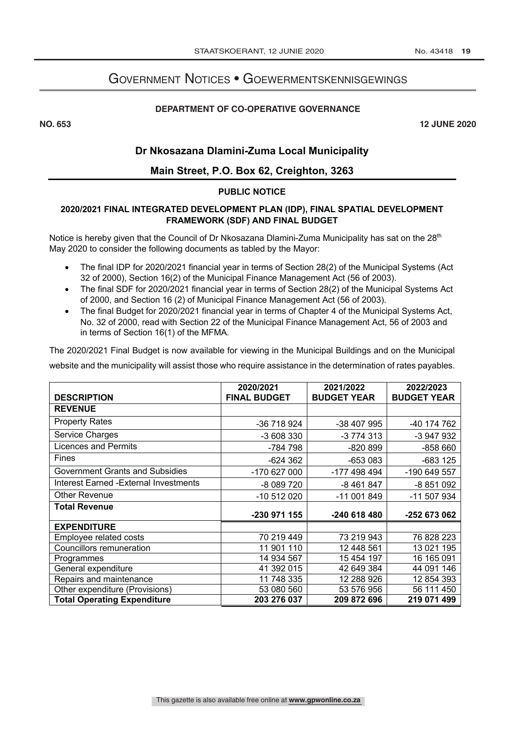# Government Notices • Goewermentskennisgewings

#### **DEPARTMENT OF CO-OPERATIVE GOVERNANCE**

**NO. 653 12 JUNE 2020**

## **Dr Nkosazana Dlamini-Zuma Local Municipality**

## **Main Street, P.O. Box 62, Creighton, 3263**

#### **PUBLIC NOTICE**

### **2020/2021 FINAL INTEGRATED DEVELOPMENT PLAN (IDP), FINAL SPATIAL DEVELOPMENT FRAMEWORK (SDF) AND FINAL BUDGET**

Notice is hereby given that the Council of Dr Nkosazana Dlamini-Zuma Municipality has sat on the 28<sup>th</sup> May 2020 to consider the following documents as tabled by the Mayor:

- The final IDP for 2020/2021 financial year in terms of Section 28(2) of the Municipal Systems (Act 32 of 2000), Section 16(2) of the Municipal Finance Management Act (56 of 2003).
- The final SDF for 2020/2021 financial year in terms of Section 28(2) of the Municipal Systems Act of 2000, and Section 16 (2) of Municipal Finance Management Act (56 of 2003).
- The final Budget for 2020/2021 financial year in terms of Chapter 4 of the Municipal Systems Act, No. 32 of 2000, read with Section 22 of the Municipal Finance Management Act, 56 of 2003 and in terms of Section 16(1) of the MFMA.

The 2020/2021 Final Budget is now available for viewing in the Municipal Buildings and on the Municipal website and the municipality will assist those who require assistance in the determination of rates payables.

| <b>DESCRIPTION</b>                     | 2020/2021<br><b>FINAL BUDGET</b> | 2021/2022<br><b>BUDGET YEAR</b> | 2022/2023<br><b>BUDGET YEAR</b> |
|----------------------------------------|----------------------------------|---------------------------------|---------------------------------|
| <b>REVENUE</b>                         |                                  |                                 |                                 |
| <b>Property Rates</b>                  | -36 718 924                      | -38 407 995                     | -40 174 762                     |
| Service Charges                        | -3 608 330                       | -3 774 313                      | -3 947 932                      |
| <b>Licences and Permits</b>            | -784 798                         | $-820899$                       | -858 660                        |
| <b>Fines</b>                           | $-624362$                        | -653 083                        | -683 125                        |
| <b>Government Grants and Subsidies</b> | -170 627 000                     | -177 498 494                    | -190 649 557                    |
| Interest Earned - External Investments | -8 089 720                       | -8 461 847                      | -8 851 092                      |
| <b>Other Revenue</b>                   | -10 512 020                      | -11 001 849                     | -11 507 934                     |
| <b>Total Revenue</b>                   |                                  |                                 |                                 |
|                                        | -230 971 155                     | -240 618 480                    | -252 673 062                    |
| <b>EXPENDITURE</b>                     |                                  |                                 |                                 |
| Employee related costs                 | 70 219 449                       | 73 219 943                      | 76 828 223                      |
| Councillors remuneration               | 11 901 110                       | 12 448 561                      | 13 021 195                      |
| Programmes                             | 14 934 567                       | 15 454 197                      | 16 165 091                      |
| General expenditure                    | 41 392 015                       | 42 649 384                      | 44 091 146                      |
| Repairs and maintenance                | 11 748 335                       | 12 288 926                      | 12 854 393                      |
| Other expenditure (Provisions)         | 53 080 560                       | 53 576 956                      | 56 111 450                      |
| <b>Total Operating Expenditure</b>     | 203 276 037                      | 209 872 696                     | 219 071 499                     |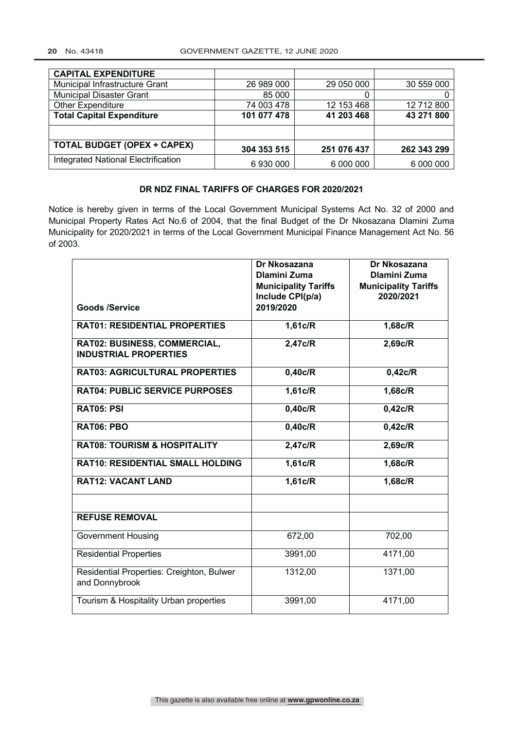#### **20** No. 43418 GOVERNMENT GAZETTE, 12 JUNE 2020

| <b>CAPITAL EXPENDITURE</b>          |             |             |             |
|-------------------------------------|-------------|-------------|-------------|
| Municipal Infrastructure Grant      | 26 989 000  | 29 050 000  | 30 559 000  |
| <b>Municipal Disaster Grant</b>     | 85 000      |             | O           |
| <b>Other Expenditure</b>            | 74 003 478  | 12 153 468  | 12 712 800  |
| <b>Total Capital Expenditure</b>    | 101 077 478 | 41 203 468  | 43 271 800  |
|                                     |             |             |             |
| <b>TOTAL BUDGET (OPEX + CAPEX)</b>  | 304 353 515 | 251 076 437 | 262 343 299 |
| Integrated National Electrification | 6930000     | 6 000 000   | 6 000 000   |

### **DR NDZ FINAL TARIFFS OF CHARGES FOR 2020/2021**

Notice is hereby given in terms of the Local Government Municipal Systems Act No. 32 of 2000 and Municipal Property Rates Act No.6 of 2004, that the final Budget of the Dr Nkosazana Dlamini Zuma Municipality for 2020/2021 in terms of the Local Government Municipal Finance Management Act No. 56 of 2003.

|                                                             | Dr Nkosazana                | Dr Nkosazana                |
|-------------------------------------------------------------|-----------------------------|-----------------------------|
|                                                             | <b>Dlamini Zuma</b>         | <b>Dlamini Zuma</b>         |
|                                                             | <b>Municipality Tariffs</b> | <b>Municipality Tariffs</b> |
|                                                             | Include CPI(p/a)            | 2020/2021                   |
| <b>Goods /Service</b>                                       | 2019/2020                   |                             |
| <b>RAT01: RESIDENTIAL PROPERTIES</b>                        | 1,61c/R                     | $1,68c/\overline{R}$        |
|                                                             |                             |                             |
| RAT02: BUSINESS, COMMERCIAL,                                | 2,47c/R                     | 2,69c/R                     |
| <b>INDUSTRIAL PROPERTIES</b>                                |                             |                             |
| <b>RAT03: AGRICULTURAL PROPERTIES</b>                       | 0,40c/R                     | 0,42c/R                     |
| <b>RAT04: PUBLIC SERVICE PURPOSES</b>                       | 1,61c/R                     | 1,68c/R                     |
| RAT05: PSI                                                  | 0,40c/R                     | 0,42c/R                     |
| <b>RAT06: PBO</b>                                           | 0,40c/R                     | 0,42c/R                     |
| <b>RAT08: TOURISM &amp; HOSPITALITY</b>                     | 2,47c/R                     | 2,69c/R                     |
| RAT10: RESIDENTIAL SMALL HOLDING                            | 1,61c/R                     | 1,68c/R                     |
| <b>RAT12: VACANT LAND</b>                                   | 1,61c/R                     | 1,68c/R                     |
|                                                             |                             |                             |
| <b>REFUSE REMOVAL</b>                                       |                             |                             |
| <b>Government Housing</b>                                   | 672,00                      | 702,00                      |
| <b>Residential Properties</b>                               | 3991,00                     | 4171,00                     |
| Residential Properties: Creighton, Bulwer<br>and Donnybrook | 1312,00                     | 1371,00                     |
| Tourism & Hospitality Urban properties                      | 3991,00                     | 4171,00                     |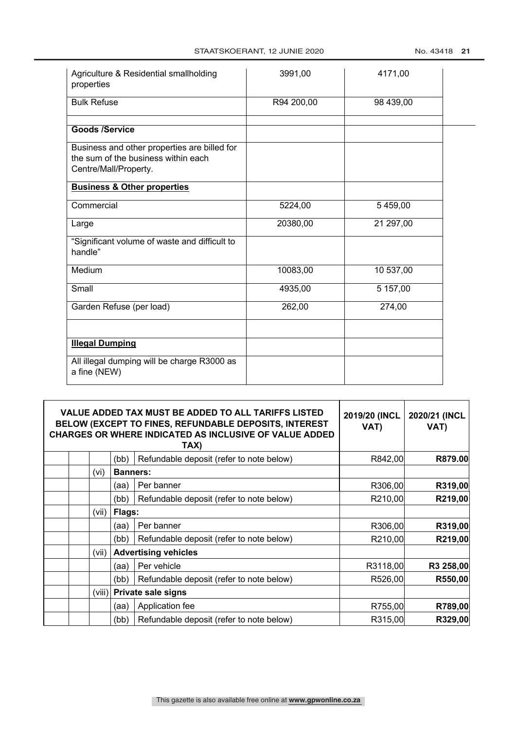| Agriculture & Residential smallholding<br>properties                                                         | 3991,00    | 4171,00   |  |
|--------------------------------------------------------------------------------------------------------------|------------|-----------|--|
| <b>Bulk Refuse</b>                                                                                           | R94 200,00 | 98 439,00 |  |
| <b>Goods /Service</b>                                                                                        |            |           |  |
| Business and other properties are billed for<br>the sum of the business within each<br>Centre/Mall/Property. |            |           |  |
| <b>Business &amp; Other properties</b>                                                                       |            |           |  |
| Commercial                                                                                                   | 5224,00    | 5459,00   |  |
| Large                                                                                                        | 20380,00   | 21 297,00 |  |
| "Significant volume of waste and difficult to<br>handle"                                                     |            |           |  |
| Medium                                                                                                       | 10083,00   | 10 537,00 |  |
| Small                                                                                                        | 4935,00    | 5 157,00  |  |
| Garden Refuse (per load)                                                                                     | 262,00     | 274,00    |  |
|                                                                                                              |            |           |  |
| <b>Illegal Dumping</b>                                                                                       |            |           |  |
| All illegal dumping will be charge R3000 as<br>a fine (NEW)                                                  |            |           |  |

| VALUE ADDED TAX MUST BE ADDED TO ALL TARIFFS LISTED<br><b>BELOW (EXCEPT TO FINES, REFUNDABLE DEPOSITS, INTEREST</b><br>CHARGES OR WHERE INDICATED AS INCLUSIVE OF VALUE ADDED |                 | 2019/20 (INCL<br>VAT)                    | 2020/21 (INCL<br>VAT) |           |
|-------------------------------------------------------------------------------------------------------------------------------------------------------------------------------|-----------------|------------------------------------------|-----------------------|-----------|
|                                                                                                                                                                               | (bb)            | Refundable deposit (refer to note below) | R842,00               | R879.00   |
| (vi)                                                                                                                                                                          | <b>Banners:</b> |                                          |                       |           |
|                                                                                                                                                                               | (aa)            | Per banner                               | R306,00               | R319,00   |
|                                                                                                                                                                               | (bb)            | Refundable deposit (refer to note below) | R210,00               | R219,00   |
| (vii)                                                                                                                                                                         | Flags:          |                                          |                       |           |
|                                                                                                                                                                               | (aa)            | Per banner                               | R306,00               | R319,00   |
|                                                                                                                                                                               | (bb)            | Refundable deposit (refer to note below) | R210,00               | R219,00   |
| (vii)                                                                                                                                                                         |                 | <b>Advertising vehicles</b>              |                       |           |
|                                                                                                                                                                               | (aa)            | Per vehicle                              | R3118,00              | R3 258,00 |
|                                                                                                                                                                               | (bb)            | Refundable deposit (refer to note below) | R526,00               | R550,00   |
| (viii)                                                                                                                                                                        |                 | <b>Private sale signs</b>                |                       |           |
|                                                                                                                                                                               | (aa)            | Application fee                          | R755,00               | R789,00   |
|                                                                                                                                                                               | (bb)            | Refundable deposit (refer to note below) | R315,00               | R329,00   |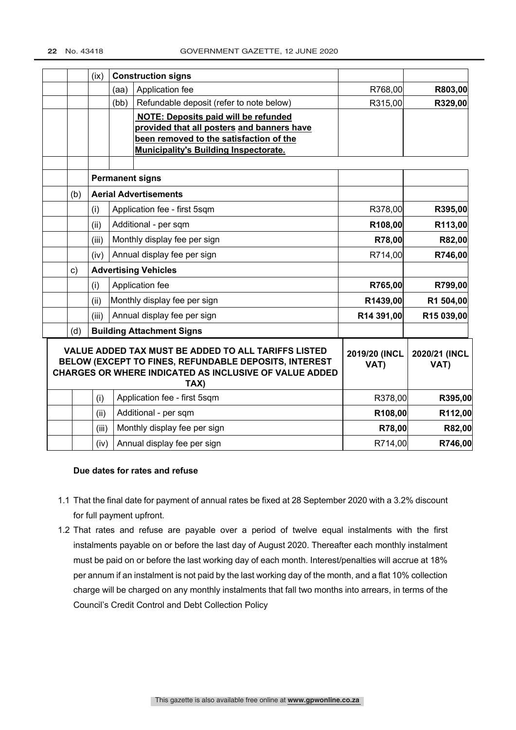|     | (ix)  | <b>Construction signs</b> |                                                                                                                                                                                |                       |                       |
|-----|-------|---------------------------|--------------------------------------------------------------------------------------------------------------------------------------------------------------------------------|-----------------------|-----------------------|
|     |       | (aa)                      | Application fee                                                                                                                                                                | R768,00               | R803,00               |
|     |       | (bb)                      | Refundable deposit (refer to note below)                                                                                                                                       | R315,00               | R329,00               |
|     |       |                           | <b>NOTE: Deposits paid will be refunded</b>                                                                                                                                    |                       |                       |
|     |       |                           | provided that all posters and banners have                                                                                                                                     |                       |                       |
|     |       |                           | been removed to the satisfaction of the<br><b>Municipality's Building Inspectorate.</b>                                                                                        |                       |                       |
|     |       |                           |                                                                                                                                                                                |                       |                       |
|     |       |                           | <b>Permanent signs</b>                                                                                                                                                         |                       |                       |
| (b) |       |                           | <b>Aerial Advertisements</b>                                                                                                                                                   |                       |                       |
|     | (i)   |                           | Application fee - first 5sqm                                                                                                                                                   | R378,00               | R395,00               |
|     | (ii)  |                           | Additional - per sqm                                                                                                                                                           | R108,00               | R113,00               |
|     | (iii) |                           | Monthly display fee per sign                                                                                                                                                   | R78,00                | R82,00                |
|     | (iv)  |                           | Annual display fee per sign                                                                                                                                                    | R714,00               | R746,00               |
| c)  |       |                           | <b>Advertising Vehicles</b>                                                                                                                                                    |                       |                       |
|     | (i)   |                           | Application fee                                                                                                                                                                | R765,00               | R799,00               |
|     | (ii)  |                           | Monthly display fee per sign                                                                                                                                                   | R1439,00              | R1 504,00             |
|     | (iii) |                           | Annual display fee per sign                                                                                                                                                    | R14 391,00            | R15 039,00            |
| (d) |       |                           | <b>Building Attachment Signs</b>                                                                                                                                               |                       |                       |
|     |       |                           | VALUE ADDED TAX MUST BE ADDED TO ALL TARIFFS LISTED<br>BELOW (EXCEPT TO FINES, REFUNDABLE DEPOSITS, INTEREST<br>CHARGES OR WHERE INDICATED AS INCLUSIVE OF VALUE ADDED<br>TAX) | 2019/20 (INCL<br>VAT) | 2020/21 (INCL<br>VAT) |
|     | (i)   |                           | Application fee - first 5sqm                                                                                                                                                   | R378,00               | R395,00               |
|     | (ii)  |                           | Additional - per sqm                                                                                                                                                           | R108,00               | R112,00               |
|     | (iii) |                           | Monthly display fee per sign                                                                                                                                                   | R78,00                | R82,00                |
|     | (iv)  |                           | Annual display fee per sign                                                                                                                                                    | R714,00               | R746,00               |

#### **Due dates for rates and refuse**

- 1.1 That the final date for payment of annual rates be fixed at 28 September 2020 with a 3.2% discount for full payment upfront.
- 1.2 That rates and refuse are payable over a period of twelve equal instalments with the first instalments payable on or before the last day of August 2020. Thereafter each monthly instalment must be paid on or before the last working day of each month. Interest/penalties will accrue at 18% per annum if an instalment is not paid by the last working day of the month, and a flat 10% collection charge will be charged on any monthly instalments that fall two months into arrears, in terms of the Council's Credit Control and Debt Collection Policy